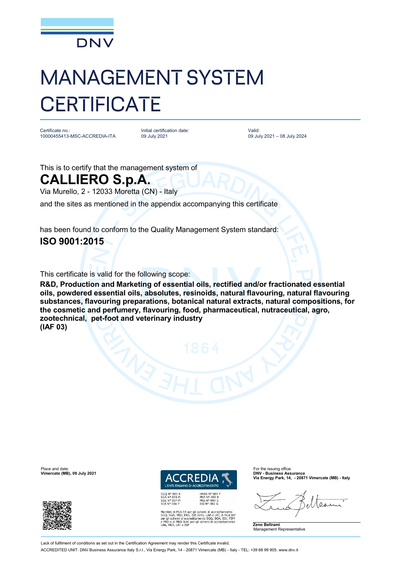

## MANAGEMENT SYSTEM **CERTIFICATE**

Certificate no.: 10000455413-MSC-ACCREDIA-ITA Initial certification date: 09 July 2021

Valid: 09 July 2021 – 08 July 2024

This is to certify that the management system of

## **CALLIERO S.p.A.**

Via Murello, 2 - 12033 Moretta (CN) - Italy

and the sites as mentioned in the appendix accompanying this certificate

has been found to conform to the Quality Management System standard: **ISO 9001:2015**

This certificate is valid for the following scope:

**R&D, Production and Marketing of essential oils, rectified and/or fractionated essential oils, powdered essential oils, absolutes, resinoids, natural flavouring, natural flavouring substances, flavouring preparations, botanical natural extracts, natural compositions, for the cosmetic and perfumery, flavouring, food, pharmaceutical, nutraceutical, agro, zootechnical, pet-foot and veterinary industry (IAF 03)**



**EMAS N° 009<br>PRD N° 003 B<br>PRS N° 094 C<br>SSI N° 002 G** Membro di MLA EA per gli schemi di accreditamento<br>SGO, SGA, PRD, PRS, ISP, GHG, LAB e LAT, di MLA IAT<br>per gli schemi di accreditamento SGO, SGA, SSI, FSM<br>e PRD e di MRA ILAC per gli schemi di accreditamento<br>LAB, MED, LAT e **Via Energy Park, 14, - 20871 Vimercate (MB) - Italy**



Place and date: For the issuing office:<br> **Place and date:** For the issuing office:<br> **Place and the interval of the issuing office:** For the issuing office:<br> **Place and the interval of the issuing office: Vimercate (MB), 09 July 2021** 



Lack of fulfilment of conditions as set out in the Certification Agreement may render this Certificate invalid

ACCREDITED UNIT: DNV Business Assurance Italy S.r.l., Via Energy Park, 14 - 20871 Vimercate (MB) - Italy - TEL: +39 68 99 905. [www.dnv.it](http://www.dnv.it)